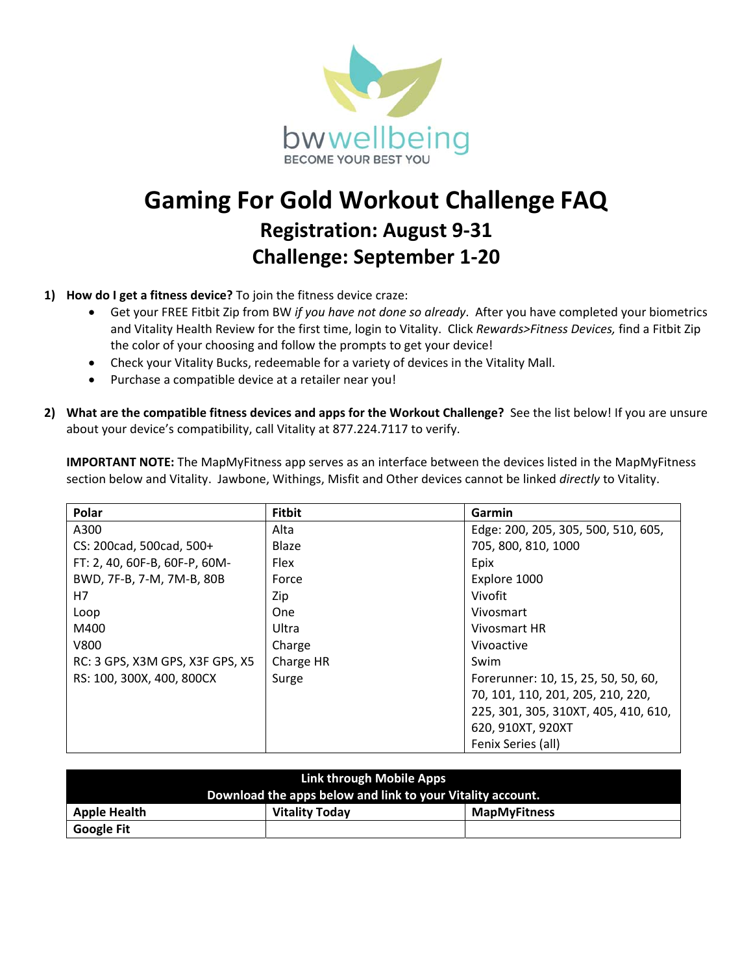

## **Gaming For Gold Workout Challenge FAQ Registration: August 9‐31 Challenge: September 1‐20**

## **1) How do I get a fitness device?** To join the fitness device craze:

- Get your FREE Fitbit Zip from BW *if you have not done so already*. After you have completed your biometrics and Vitality Health Review for the first time, login to Vitality. Click *Rewards>Fitness Devices,* find a Fitbit Zip the color of your choosing and follow the prompts to get your device!
- Check your Vitality Bucks, redeemable for a variety of devices in the Vitality Mall.
- Purchase a compatible device at a retailer near you!
- 2) What are the compatible fitness devices and apps for the Workout Challenge? See the list below! If you are unsure about your device's compatibility, call Vitality at 877.224.7117 to verify.

**IMPORTANT NOTE:** The MapMyFitness app serves as an interface between the devices listed in the MapMyFitness section below and Vitality. Jawbone, Withings, Misfit and Other devices cannot be linked *directly* to Vitality.

| Polar                           | <b>Fitbit</b> | Garmin                               |
|---------------------------------|---------------|--------------------------------------|
| A300                            | Alta          | Edge: 200, 205, 305, 500, 510, 605,  |
| CS: 200cad, 500cad, 500+        | Blaze         | 705, 800, 810, 1000                  |
| FT: 2, 40, 60F-B, 60F-P, 60M-   | Flex          | Epix                                 |
| BWD, 7F-B, 7-M, 7M-B, 80B       | Force         | Explore 1000                         |
| H7                              | Zip           | Vivofit                              |
| Loop                            | <b>One</b>    | Vivosmart                            |
| M400                            | Ultra         | Vivosmart HR                         |
| V800                            | Charge        | Vivoactive                           |
| RC: 3 GPS, X3M GPS, X3F GPS, X5 | Charge HR     | Swim                                 |
| RS: 100, 300X, 400, 800CX       | Surge         | Forerunner: 10, 15, 25, 50, 50, 60,  |
|                                 |               | 70, 101, 110, 201, 205, 210, 220,    |
|                                 |               | 225, 301, 305, 310XT, 405, 410, 610, |
|                                 |               | 620, 910XT, 920XT                    |
|                                 |               | Fenix Series (all)                   |

| Link through Mobile Apps                                   |                       |                     |  |  |
|------------------------------------------------------------|-----------------------|---------------------|--|--|
| Download the apps below and link to your Vitality account. |                       |                     |  |  |
| <b>Apple Health</b>                                        | <b>Vitality Today</b> | <b>MapMyFitness</b> |  |  |
| <b>Google Fit</b>                                          |                       |                     |  |  |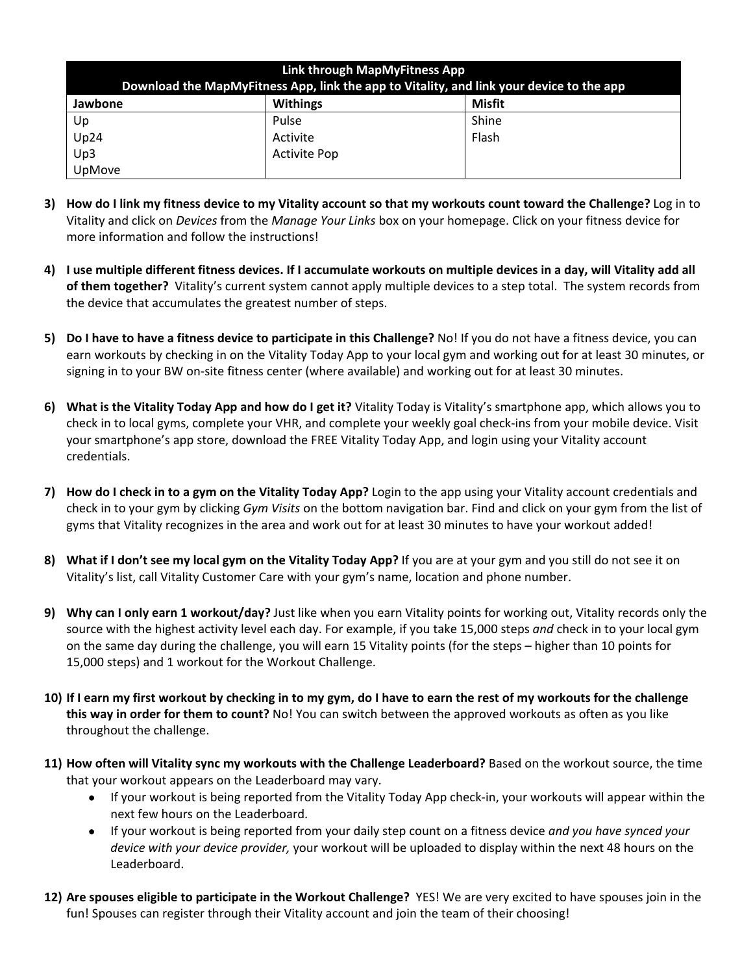| Link through MapMyFitness App<br>Download the MapMyFitness App, link the app to Vitality, and link your device to the app |                     |        |  |  |
|---------------------------------------------------------------------------------------------------------------------------|---------------------|--------|--|--|
| Jawbone                                                                                                                   | <b>Withings</b>     | Misfit |  |  |
| Up                                                                                                                        | Pulse               | Shine  |  |  |
| Up24                                                                                                                      | Activite            | Flash  |  |  |
| Up3                                                                                                                       | <b>Activite Pop</b> |        |  |  |
| UpMove                                                                                                                    |                     |        |  |  |

- **3) How do I link my fitness device to my Vitality account so that my workouts count toward the Challenge?** Log in to Vitality and click on *Devices* from the *Manage Your Links* box on your homepage. Click on your fitness device for more information and follow the instructions!
- **4) I use multiple different fitness devices. If I accumulate workouts on multiple devices in a day, will Vitality add all of them together?** Vitality's current system cannot apply multiple devices to a step total. The system records from the device that accumulates the greatest number of steps.
- **5) Do I have to have a fitness device to participate in this Challenge?** No! If you do not have a fitness device, you can earn workouts by checking in on the Vitality Today App to your local gym and working out for at least 30 minutes, or signing in to your BW on‐site fitness center (where available) and working out for at least 30 minutes.
- **6) What is the Vitality Today App and how do I get it?** Vitality Today is Vitality's smartphone app, which allows you to check in to local gyms, complete your VHR, and complete your weekly goal check‐ins from your mobile device. Visit your smartphone's app store, download the FREE Vitality Today App, and login using your Vitality account credentials.
- **7) How do I check in to a gym on the Vitality Today App?** Login to the app using your Vitality account credentials and check in to your gym by clicking *Gym Visits* on the bottom navigation bar. Find and click on your gym from the list of gyms that Vitality recognizes in the area and work out for at least 30 minutes to have your workout added!
- **8) What if I don't see my local gym on the Vitality Today App?** If you are at your gym and you still do not see it on Vitality's list, call Vitality Customer Care with your gym's name, location and phone number.
- **9) Why can I only earn 1 workout/day?** Just like when you earn Vitality points for working out, Vitality records only the source with the highest activity level each day. For example, if you take 15,000 steps *and* check in to your local gym on the same day during the challenge, you will earn 15 Vitality points (for the steps – higher than 10 points for 15,000 steps) and 1 workout for the Workout Challenge.
- **10) If I earn my first workout by checking in to my gym, do I have to earn the rest of my workouts for the challenge this way in order for them to count?** No! You can switch between the approved workouts as often as you like throughout the challenge.
- **11) How often will Vitality sync my workouts with the Challenge Leaderboard?** Based on the workout source, the time that your workout appears on the Leaderboard may vary.
	- If your workout is being reported from the Vitality Today App check-in, your workouts will appear within the next few hours on the Leaderboard.
	- If your workout is being reported from your daily step count on a fitness device *and you have synced your device with your device provider,* your workout will be uploaded to display within the next 48 hours on the Leaderboard.
- **12) Are spouses eligible to participate in the Workout Challenge?** YES! We are very excited to have spouses join in the fun! Spouses can register through their Vitality account and join the team of their choosing!